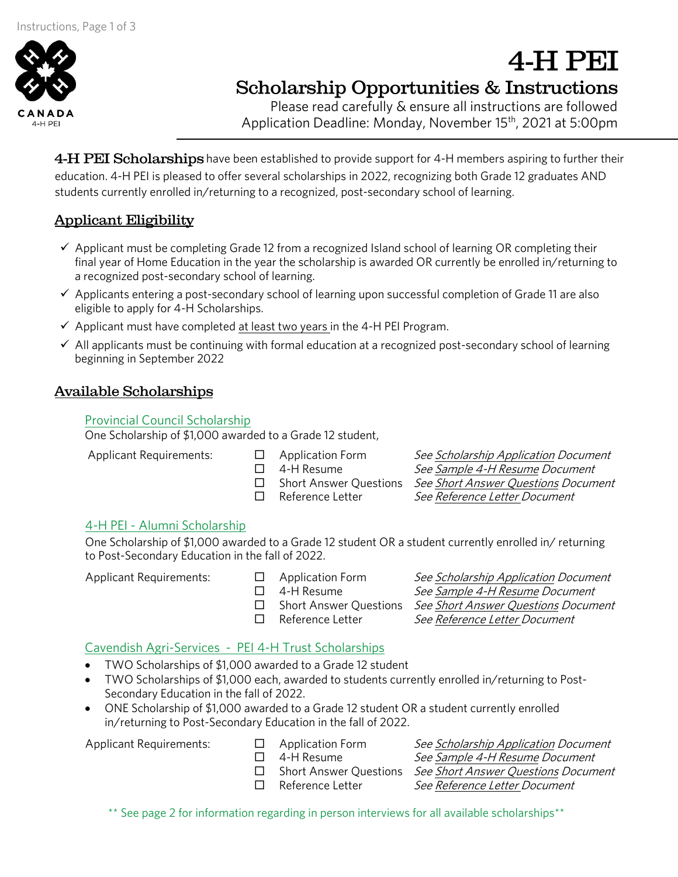

# **Scholarship Opportunities & Instructions**

 $\frac{1}{2}$ Application Deadline: Monday, November 15th<br>———————————————————— , <del>2021 at 5:00</del> pm

4-H PEI Scholarships have been established to provide support for 4-H members aspiring to further their<br>education. 4-H PEI is pleased to offer several scholarships in 2022, recognizing both Grade 12 graduates AND students currently enrolled in/returning to a recognized, post-secondary school of learning. students currently enrolled in  $\mathfrak{g}$  as recognized in/returning to a recognized of  $\mathfrak{g}$ 

# **Applicant Eligibility**

- Applicant must be completing Grade 12 from a recognized Island school of learning OR completing their<br>final year of Home Education in the year the scholarship is awarded OR currently be enrolled in/returning to a recognized post-secondary school of learning.
- a recognized post-secondary school of learning.<br>
→ Applicants entering a post-secondary school of learning upon successful completion of Grade 11 are also<br>
eligible to apply for 4-H Scholarshins
- Applicant must have completed at least two years in the 4-H PEI Program.
- $\checkmark$  All applicants must be continuing with formal education at a recognized post-secondary school of learning<br>beginning in September 2022  $\mathcal{L}$  beginning in September 2022

# **Available Scholarships**

Provincial Council Scholarship<br>One Scholarship of \$1,000 awarded to a Grade 12 student,

Applicant Requirements:  $\Box$  Application Form

- 
- 
- 
- 

□ Application Form See Scholarship Application Document<br>□ 4-H Resume See Sample 4-H Resume Document □ 4-H Resume *See <u>Sample 4-H Resume</u> Document*<br>□ Short Answer Questions *See Short Answer Questions Docum* □ Short Answer Questions *See <u>Short Answer Questions</u> Document*<br>□ Reference Letter *See Reference Letter Document*  $\Box$  Reference Letter See Reference Letter Document

4-H PEI

4-H PEI - Alumni Scholarship<br>One Scholarship of \$1,000 awarded to a Grade 12 student OR a student currently enrolled in/returning to Post-Secondary Education in the fall of 2022. to Post-Secondary Education in the fall of 2022.

- 
- 
- 
- 

Applicant Requirements:  $\Box$  Application Form See Scholarship Application Document<br> $\Box$  4-H Resume See Sample 4-H Resume Document □ 4-H Resume See Sample 4-H Resume Document<br>□ Short Answer Questions See Short Answer Questions Docum □ Short Answer Questions *See <u>Short Answer Questions</u> Document*<br>□ Reference Letter *See Reference Letter Document* See Reference Letter Document

- TWO Scholarships of \$1,000 awarded to a Grade 12 student<br>• TWO Scholarships of \$1,000 each awarded to students curr
- TWO Scholarships of \$1,000 each, awarded to students currently enrolled in/returning to Post-<br>Secondary Education in the fall of 2022.
- ONE Scholarship of \$1,000 awarded to a Grade 12 student OR a student currently enrolled<br>in/returning to Post-Secondary Education in the fall of 2022 in/returning to Post-Secondary Education in the fall of 2022.<br>Applicant Requirements:  $\square$  Application Form

 $\Box$  Application Form See Scholarship Application Document<br>  $\Box$  4-H Resume See Sample 4-H Resume Document □ 4-H Resume See Sample 4-H Resume Document<br>□ Short Answer Questions See Short Answer Questions Docum □ Short Answer Questions See Short Answer Questions Document<br>□ Reference Letter See Reference Letter Document See Reference Letter Document

\*\* See page 2 for information regarding in person interviews for all available scholarships\*\*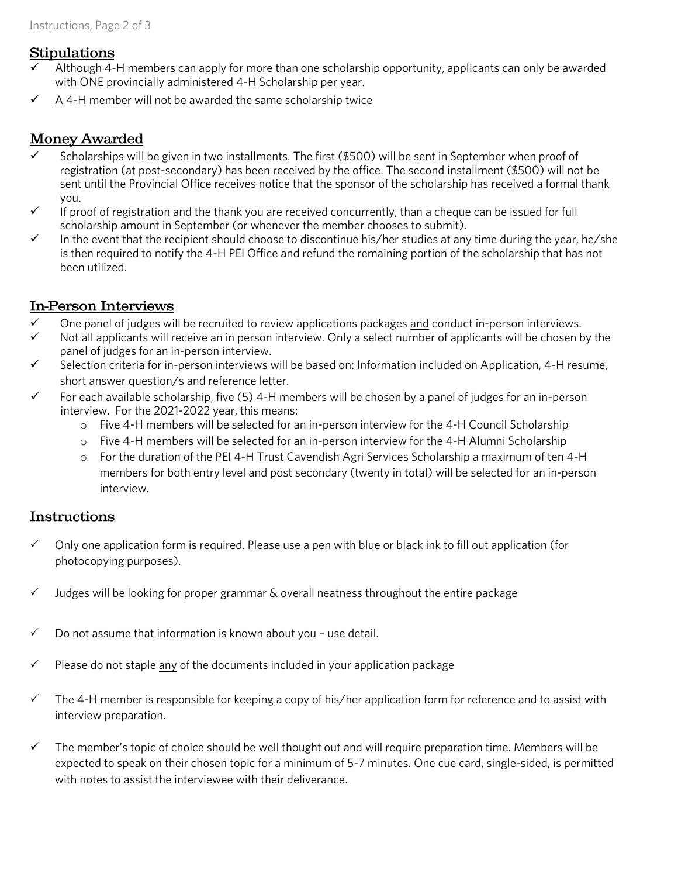### **Stipulations**

- Although 4-H members can apply for more than one scholarship opportunity, applicants can only be awarded with ONE provincially administered 4-H Scholarship per year.
- $\overline{v}$  A 4-H member will not be awarded the same scholarship twice

# **Money Awarded**

- Scholarships will be given in two installments. The first (\$500) will be sent in September when proof of registration (at post-secondary) has been received by the office. The second installment (\$500) will not be sent until the Provincial Office receives notice that the sponsor of the scholarship has received a formal thank sent until the Provincial Office receives notice that the sponsor of the scholarship has received a formal thank
- If proof of registration and the thank you are received concurrently, than a cheque can be issued for full scholarship amount in September (or whenever the member chooses to submit)
- In the event that the recipient should choose to discontinue his/her studies at any time during the year, he/she<br>is then required to notify the 4-H PFI Office and refund the remaining portion of the scholarship that has n is the 4-H PEI Office and representation of the remaining portion of the remaining portion of the scholarship that has no been utilized.

# **In-Person Interviews**

- $\checkmark$  One panel of judges will be recruited to review applications packages and conduct in-person interviews.
- Not all applicants will receive an in person interview. Only a select number of applicants will be chosen by the panel of judges for an in-person interview.
- $\checkmark$  Selection criteria for in-person interviews will be based on: Information included on Application, 4-H resume,<br>short answer question (s and reference letter)
- For each available scholarship, five (5) 4-H members will be chosen by a panel of judges for an in-person<br>interview For the 2021-2022 year this means:
	- o Five 4-H members will be selected for an in-person interview for the 4-H Council Scholarship
		- $\circ$  Five 4-H members will be selected for an in-person interview for the 4-H Alumni Scholarship
		- <sup>o</sup> For the duration of the PEI 4-H Trust Cavendish Agri Services Scholarship a maximum of ten 4-H  $\frac{1}{\sqrt{2}}$  intoxident and post secondary (twenty in the selected for an in-personal) will be selected for an in-personal ininterview.

# **Instructions**

- $\checkmark$  Only one application form is required. Please use a pen with blue or black ink to fill out application (for photocopying purposes). photocopying purposes).
- $\checkmark$  Judges will be looking for proper grammar & overall neatness throughout the entire package
- $\checkmark$  Do not assume that information is known about you use detail.
- $\checkmark$  Please do not staple any of the documents included in your application package
- $\checkmark$  The 4-H member is responsible for keeping a copy of his/her application form for reference and to assist with interview preparation. interview preparation.
- $\checkmark$  The member's topic of choice should be well thought out and will require preparation time. Members will be expected to speak on their chosen topic for a minimum of 5-7 minutes. One cue card, single-sided, is permitt with notes to assist the interviewee with their deliverance. with notes to assist the interviewee with their deliverance.